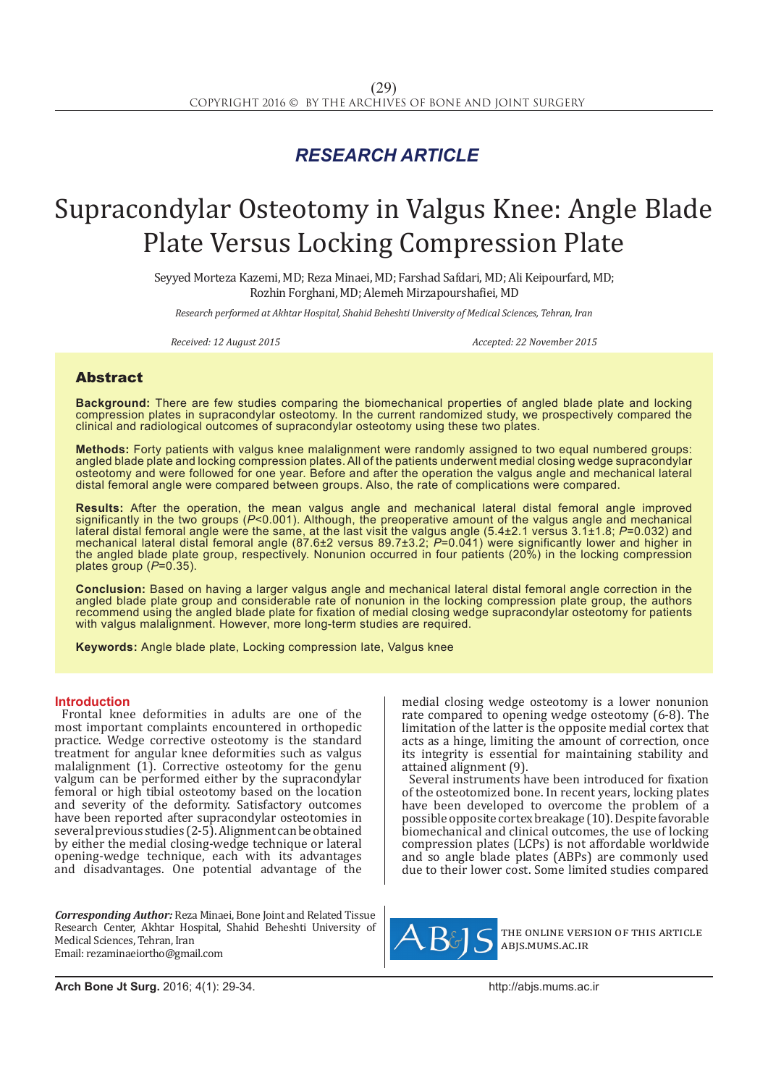## *RESEARCH ARTICLE*

# Supracondylar Osteotomy in Valgus Knee: Angle Blade Plate Versus Locking Compression Plate

Seyyed Morteza Kazemi, MD; Reza Minaei, MD; Farshad Safdari, MD; Ali Keipourfard, MD; Rozhin Forghani, MD; Alemeh Mirzapourshafiei, MD

*Research performed at Akhtar Hospital, Shahid Beheshti University of Medical Sciences, Tehran, Iran*

*Received: 12 August 2015 Accepted: 22 November 2015*

### Abstract

**Background:** There are few studies comparing the biomechanical properties of angled blade plate and locking compression plates in supracondylar osteotomy. In the current randomized study, we prospectively compared the clinical and radiological outcomes of supracondylar osteotomy using these two plates.

**Methods:** Forty patients with valgus knee malalignment were randomly assigned to two equal numbered groups: angled blade plate and locking compression plates. All of the patients underwent medial closing wedge supracondylar osteotomy and were followed for one year. Before and after the operation the valgus angle and mechanical lateral distal femoral angle were compared between groups. Also, the rate of complications were compared.

**Results:** After the operation, the mean valgus angle and mechanical lateral distal femoral angle improved significantly in the two groups (*P*<0.001). Although, the preoperative amount of the valgus angle and mechanical lateral distal femoral angle were the same, at the last visit the valgus angle (5.4±2.1 versus 3.1±1.8; *P*=0.032) and mechanical lateral distal femoral angle (87.6±2 versus 89.7±3.2; *P*=0.041) were significantly lower and higher in the angled blade plate group, respectively. Nonunion occurred in four patients (20%) in the locking compression plates group (*P*=0.35).

**Conclusion:** Based on having a larger valgus angle and mechanical lateral distal femoral angle correction in the angled blade plate group and considerable rate of nonunion in the locking compression plate group, the authors recommend using the angled blade plate for fixation of medial closing wedge supracondylar osteotomy for patients with valgus malalignment. However, more long-term studies are required.

**Keywords:** Angle blade plate, Locking compression late, Valgus knee

#### **Introduction**

Frontal knee deformities in adults are one of the most important complaints encountered in orthopedic practice. Wedge corrective osteotomy is the standard treatment for angular knee deformities such as valgus malalignment (1). Corrective osteotomy for the genu valgum can be performed either by the supracondylar femoral or high tibial osteotomy based on the location and severity of the deformity. Satisfactory outcomes have been reported after supracondylar osteotomies in several previous studies (2-5). Alignment can be obtained by either the medial closing-wedge technique or lateral opening-wedge technique, each with its advantages and disadvantages. One potential advantage of the

*Corresponding Author:* Reza Minaei, Bone Joint and Related Tissue Research Center, Akhtar Hospital, Shahid Beheshti University of Medical Sciences, Tehran, Iran Email: rezaminaeiortho@gmail.com

medial closing wedge osteotomy is a lower nonunion rate compared to opening wedge osteotomy (6-8). The limitation of the latter is the opposite medial cortex that acts as a hinge, limiting the amount of correction, once its integrity is essential for maintaining stability and attained alignment (9).

Several instruments have been introduced for fixation of the osteotomized bone. In recent years, locking plates have been developed to overcome the problem of a possible opposite cortex breakage (10). Despite favorable biomechanical and clinical outcomes, the use of locking compression plates (LCPs) is not affordable worldwide and so angle blade plates (ABPs) are commonly used due to their lower cost. Some limited studies compared



the online version of this article abjs.mums.ac.ir

**Arch Bone Jt Surg.** 2016; 4(1): 29-34.http://abjs.mums.ac.ir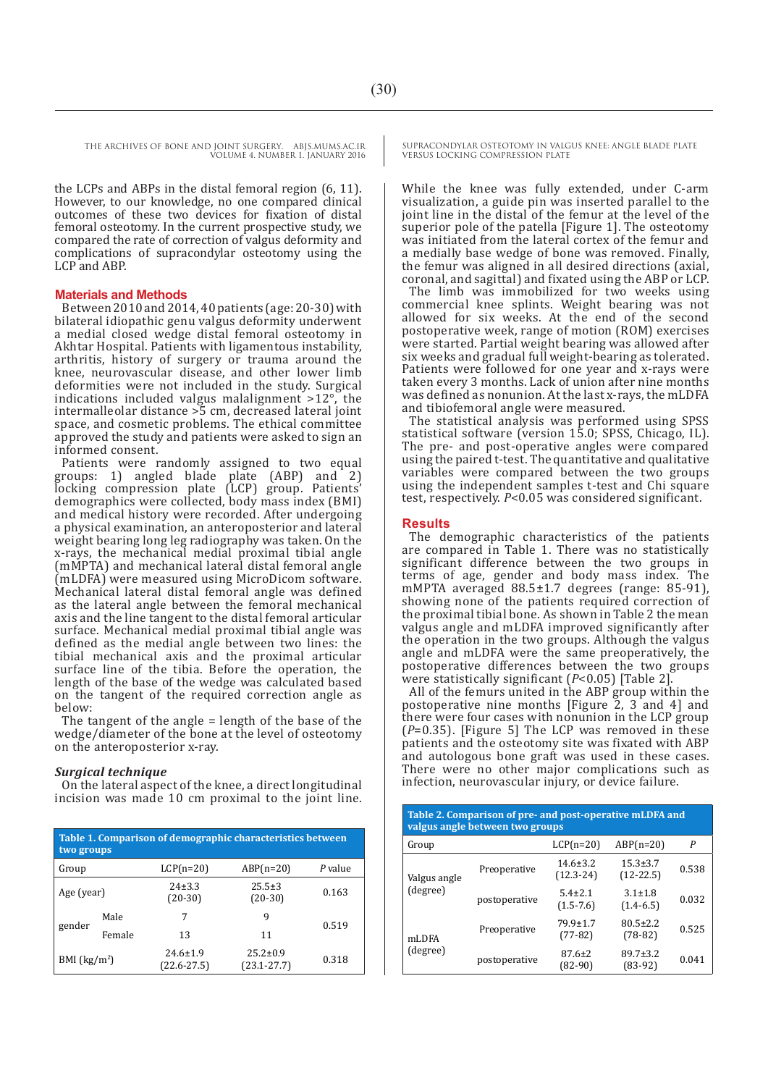THE ARCHIVES OF BONE AND JOINT SURGERY. ABJS.MUMS.AC.IR VOLUME 4. NUMBER 1. JANUARY 2016

the LCPs and ABPs in the distal femoral region (6, 11). However, to our knowledge, no one compared clinical outcomes of these two devices for fixation of distal femoral osteotomy. In the current prospective study, we compared the rate of correction of valgus deformity and complications of supracondylar osteotomy using the LCP and ABP.

#### **Materials and Methods**

Between 2010 and 2014, 40 patients (age: 20-30) with bilateral idiopathic genu valgus deformity underwent a medial closed wedge distal femoral osteotomy in Akhtar Hospital. Patients with ligamentous instability, arthritis, history of surgery or trauma around the knee, neurovascular disease, and other lower limb deformities were not included in the study. Surgical indications included valgus malalignment >12°, the intermalleolar distance >5 cm, decreased lateral joint space, and cosmetic problems. The ethical committee approved the study and patients were asked to sign an informed consent.

Patients were randomly assigned to two equal groups: 1) angled blade plate (ABP) and 2) locking compression plate (LCP) group. Patients' demographics were collected, body mass index (BMI) and medical history were recorded. After undergoing a physical examination, an anteroposterior and lateral weight bearing long leg radiography was taken. On the x-rays, the mechanical medial proximal tibial angle (mMPTA) and mechanical lateral distal femoral angle (mLDFA) were measured using MicroDicom software. Mechanical lateral distal femoral angle was defined as the lateral angle between the femoral mechanical axis and the line tangent to the distal femoral articular surface. Mechanical medial proximal tibial angle was defined as the medial angle between two lines: the tibial mechanical axis and the proximal articular surface line of the tibia. Before the operation, the length of the base of the wedge was calculated based on the tangent of the required correction angle as below:

The tangent of the angle = length of the base of the wedge/diameter of the bone at the level of osteotomy on the anteroposterior x-ray.

#### *Surgical technique*

On the lateral aspect of the knee, a direct longitudinal incision was made 10 cm proximal to the joint line.

| Table 1. Comparison of demographic characteristics between<br>two groups |        |                                   |                                   |         |  |  |  |
|--------------------------------------------------------------------------|--------|-----------------------------------|-----------------------------------|---------|--|--|--|
| Group                                                                    |        | $LCP(n=20)$                       | $ABP(n=20)$                       | P value |  |  |  |
| Age (year)                                                               |        | $24 \pm 3.3$<br>$(20-30)$         | $25.5 \pm 3$<br>$(20-30)$         | 0.163   |  |  |  |
| gender                                                                   | Male   | 7                                 | 9                                 | 0.519   |  |  |  |
|                                                                          | Female | 13                                | 11                                |         |  |  |  |
| BMI $(kg/m2)$                                                            |        | $24.6 \pm 1.9$<br>$(22.6 - 27.5)$ | $25.2 \pm 0.9$<br>$(23.1 - 27.7)$ | 0.318   |  |  |  |

SUPRACONDYLAR OSTEOTOMY IN VALGUS KNEE: ANGLE BLADE PLATE VERSUS LOCKING COMPRESSION PLATE

While the knee was fully extended, under C-arm visualization, a guide pin was inserted parallel to the joint line in the distal of the femur at the level of the superior pole of the patella [Figure 1]. The osteotomy was initiated from the lateral cortex of the femur and a medially base wedge of bone was removed. Finally, the femur was aligned in all desired directions (axial, coronal, and sagittal) and fixated using the ABP or LCP.

The limb was immobilized for two weeks using commercial knee splints. Weight bearing was not allowed for six weeks. At the end of the second postoperative week, range of motion (ROM) exercises were started. Partial weight bearing was allowed after six weeks and gradual full weight-bearing as tolerated. Patients were followed for one year and x-rays were taken every 3 months. Lack of union after nine months was defined as nonunion. At the last x-rays, the mLDFA and tibiofemoral angle were measured.

The statistical analysis was performed using SPSS statistical software (version 15.0; SPSS, Chicago, IL). The pre- and post-operative angles were compared using the paired t-test. The quantitative and qualitative variables were compared between the two groups using the independent samples t-test and Chi square test, respectively. *P*<0.05 was considered significant.

#### **Results**

The demographic characteristics of the patients are compared in Table 1. There was no statistically significant difference between the two groups in terms of age, gender and body mass index. The mMPTA averaged 88.5±1.7 degrees (range: 85-91), showing none of the patients required correction of the proximal tibial bone. As shown in Table 2 the mean valgus angle and mLDFA improved significantly after the operation in the two groups. Although the valgus angle and mLDFA were the same preoperatively, the postoperative differences between the two groups were statistically significant (*P*<0.05) [Table 2].

All of the femurs united in the ABP group within the postoperative nine months [Figure 2, 3 and 4] and there were four cases with nonunion in the LCP group (*P*=0.35). [Figure 5] The LCP was removed in these patients and the osteotomy site was fixated with ABP and autologous bone graft was used in these cases. There were no other major complications such as infection, neurovascular injury, or device failure.

| Table 2. Comparison of pre- and post-operative mLDFA and<br>valgus angle between two groups |               |                                 |                                |       |  |  |  |  |
|---------------------------------------------------------------------------------------------|---------------|---------------------------------|--------------------------------|-------|--|--|--|--|
| Group                                                                                       |               | $LCP(n=20)$                     | $ABP(n=20)$                    | P     |  |  |  |  |
| Valgus angle                                                                                | Preoperative  | $14.6 \pm 3.2$<br>$(12.3 - 24)$ | $15.3 \pm 3.7$<br>$(12-22.5)$  | 0.538 |  |  |  |  |
| (degree)                                                                                    | postoperative | $5.4 \pm 2.1$<br>$(1.5 - 7.6)$  | $3.1 \pm 1.8$<br>$(1.4 - 6.5)$ | 0.032 |  |  |  |  |
| mLDFA                                                                                       | Preoperative  | $79.9 \pm 1.7$<br>$(77-82)$     | $80.5 \pm 2.2$<br>$(78-82)$    | 0.525 |  |  |  |  |
| (degree)                                                                                    | postoperative | $87.6 \pm 2$<br>$(82-90)$       | $89.7 \pm 3.2$<br>$(83-92)$    | 0.041 |  |  |  |  |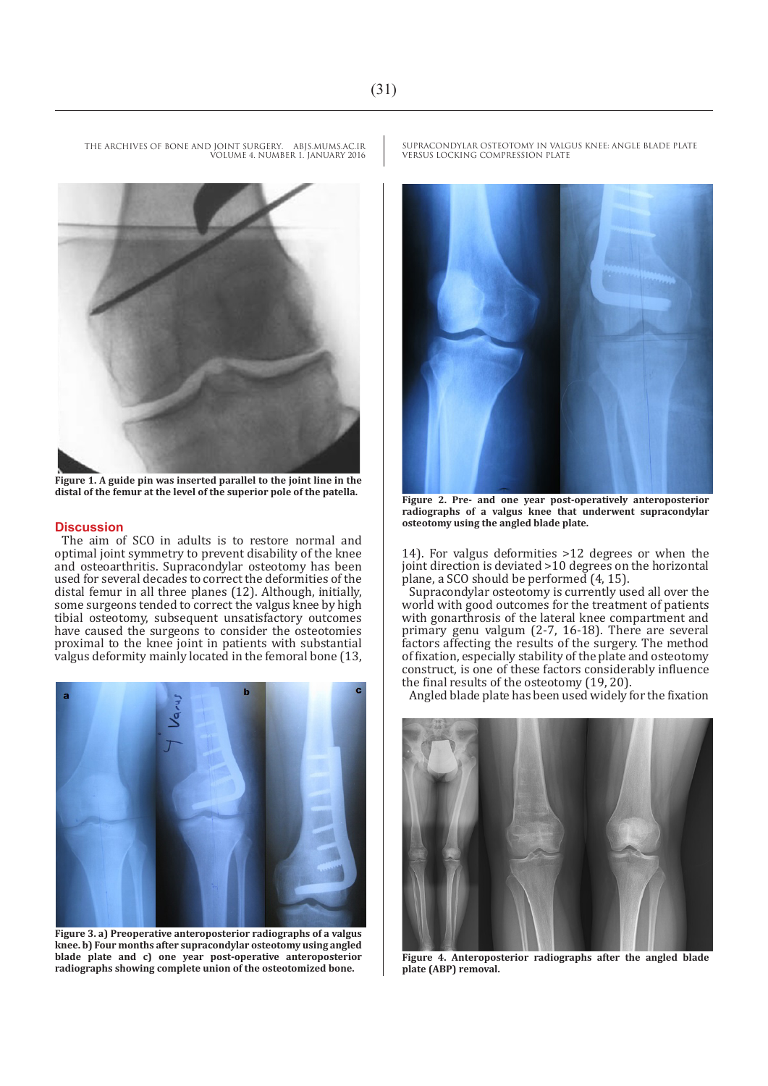

VOLUME 4. NUMBER 1. JANUARY 2016



**Figure 1. A guide pin was inserted parallel to the joint line in the distal of the femur at the level of the superior pole of the patella. Figure 2. Pre- and one year post-operatively anteroposterior** 

#### **Discussion**

The aim of SCO in adults is to restore normal and optimal joint symmetry to prevent disability of the knee and osteoarthritis. Supracondylar osteotomy has been used for several decades to correct the deformities of the distal femur in all three planes (12). Although, initially, some surgeons tended to correct the valgus knee by high tibial osteotomy, subsequent unsatisfactory outcomes have caused the surgeons to consider the osteotomies proximal to the knee joint in patients with substantial valgus deformity mainly located in the femoral bone (13,



**Figure 3. a) Preoperative anteroposterior radiographs of a valgus knee. b) Four months after supracondylar osteotomy using angled blade plate and c) one year post-operative anteroposterior radiographs showing complete union of the osteotomized bone.**

SUPRACONDYLAR OSTEOTOMY IN VALGUS KNEE: ANGLE BLADE PLATE VERSUS LOCKING COMPRESSION PLATE



**radiographs of a valgus knee that underwent supracondylar osteotomy using the angled blade plate.**

14). For valgus deformities >12 degrees or when the joint direction is deviated >10 degrees on the horizontal plane, a SCO should be performed (4, 15).

Supracondylar osteotomy is currently used all over the world with good outcomes for the treatment of patients with gonarthrosis of the lateral knee compartment and primary genu valgum (2-7, 16-18). There are several factors affecting the results of the surgery. The method of fixation, especially stability of the plate and osteotomy construct, is one of these factors considerably influence the final results of the osteotomy (19, 20).

Angled blade plate has been used widely for the fixation



**Figure 4. Anteroposterior radiographs after the angled blade plate (ABP) removal.**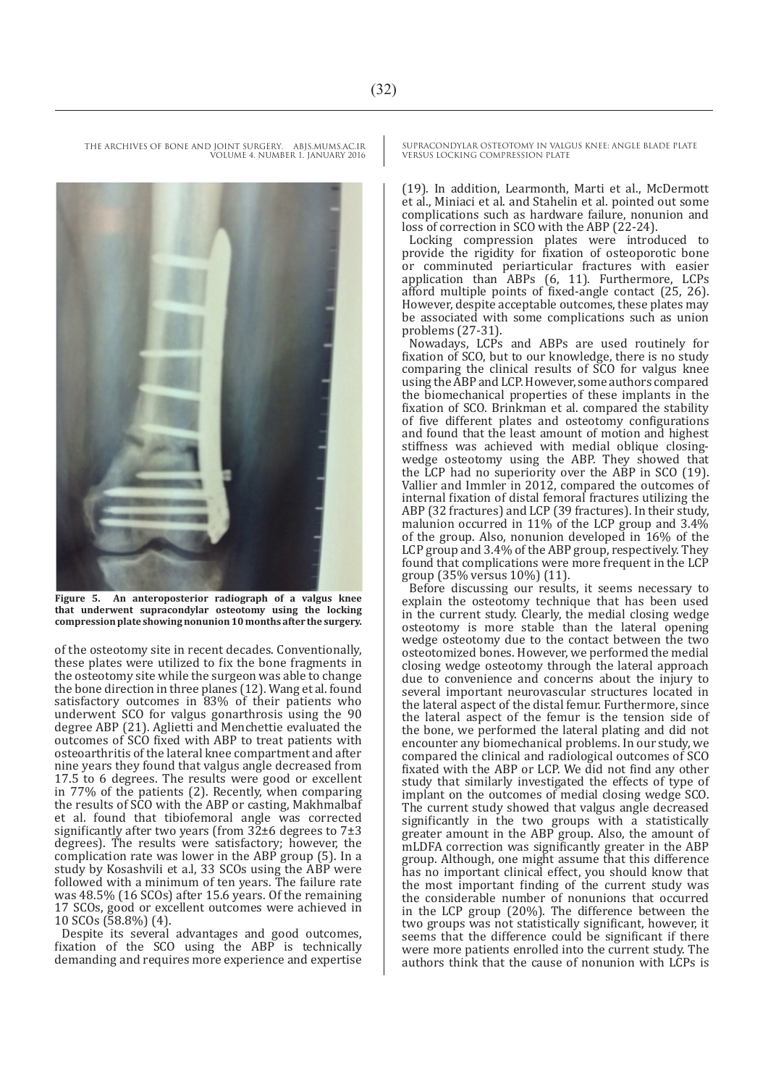**Figure 5. An anteroposterior radiograph of a valgus knee that underwent supracondylar osteotomy using the locking compression plate showing nonunion 10 months after the surgery.** 

of the osteotomy site in recent decades. Conventionally, these plates were utilized to fix the bone fragments in the osteotomy site while the surgeon was able to change the bone direction in three planes (12). Wang et al. found satisfactory outcomes in 83% of their patients who underwent SCO for valgus gonarthrosis using the 90 degree ABP (21). Aglietti and Menchettie evaluated the outcomes of SCO fixed with ABP to treat patients with osteoarthritis of the lateral knee compartment and after nine years they found that valgus angle decreased from 17.5 to 6 degrees. The results were good or excellent in 77% of the patients (2). Recently, when comparing the results of SCO with the ABP or casting, Makhmalbaf et al. found that tibiofemoral angle was corrected significantly after two years (from  $3\overline{2}$ ±6 degrees to  $7\pm3$ degrees). The results were satisfactory; however, the complication rate was lower in the ABP group (5). In a study by Kosashvili et a.l, 33 SCOs using the ABP were followed with a minimum of ten years. The failure rate was 48.5% (16 SCOs) after 15.6 years. Of the remaining 17 SCOs, good or excellent outcomes were achieved in 10 SCOs (58.8%) (4).

Despite its several advantages and good outcomes, fixation of the SCO using the ABP is technically demanding and requires more experience and expertise SUPRACONDYLAR OSTEOTOMY IN VALGUS KNEE: ANGLE BLADE PLATE VERSUS LOCKING COMPRESSION PLATE

(19). In addition, Learmonth, Marti et al., McDermott et al., Miniaci et al. and Stahelin et al. pointed out some complications such as hardware failure, nonunion and loss of correction in SCO with the ABP (22-24).

Locking compression plates were introduced to provide the rigidity for fixation of osteoporotic bone or comminuted periarticular fractures with easier application than ABPs (6, 11). Furthermore, LCPs afford multiple points of fixed-angle contact (25, 26). However, despite acceptable outcomes, these plates may be associated with some complications such as union problems (27-31).

Nowadays, LCPs and ABPs are used routinely for fixation of SCO, but to our knowledge, there is no study comparing the clinical results of SCO for valgus knee using the ABP and LCP. However, some authors compared the biomechanical properties of these implants in the fixation of SCO. Brinkman et al. compared the stability of five different plates and osteotomy configurations and found that the least amount of motion and highest stiffness was achieved with medial oblique closingwedge osteotomy using the ABP. They showed that the LCP had no superiority over the ABP in SCO (19). Vallier and Immler in 2012, compared the outcomes of internal fixation of distal femoral fractures utilizing the ABP (32 fractures) and LCP (39 fractures). In their study, malunion occurred in 11% of the LCP group and 3.4% of the group. Also, nonunion developed in 16% of the LCP group and 3.4% of the ABP group, respectively. They found that complications were more frequent in the LCP group (35% versus 10%) (11).

Before discussing our results, it seems necessary to explain the osteotomy technique that has been used in the current study. Clearly, the medial closing wedge osteotomy is more stable than the lateral opening wedge osteotomy due to the contact between the two osteotomized bones. However, we performed the medial closing wedge osteotomy through the lateral approach due to convenience and concerns about the injury to several important neurovascular structures located in the lateral aspect of the distal femur. Furthermore, since the lateral aspect of the femur is the tension side of the bone, we performed the lateral plating and did not encounter any biomechanical problems. In our study, we compared the clinical and radiological outcomes of SCO fixated with the ABP or LCP. We did not find any other study that similarly investigated the effects of type of implant on the outcomes of medial closing wedge SCO. The current study showed that valgus angle decreased significantly in the two groups with a statistically greater amount in the ABP group. Also, the amount of mLDFA correction was significantly greater in the ABP group. Although, one might assume that this difference has no important clinical effect, you should know that the most important finding of the current study was the considerable number of nonunions that occurred in the LCP group (20%). The difference between the two groups was not statistically significant, however, it seems that the difference could be significant if there were more patients enrolled into the current study. The authors think that the cause of nonunion with LCPs is

THE ARCHIVES OF BONE AND JOINT SURGERY. ABJS.MUMS.AC.IR VOLUME 4. NUMBER 1. JANUARY 2016

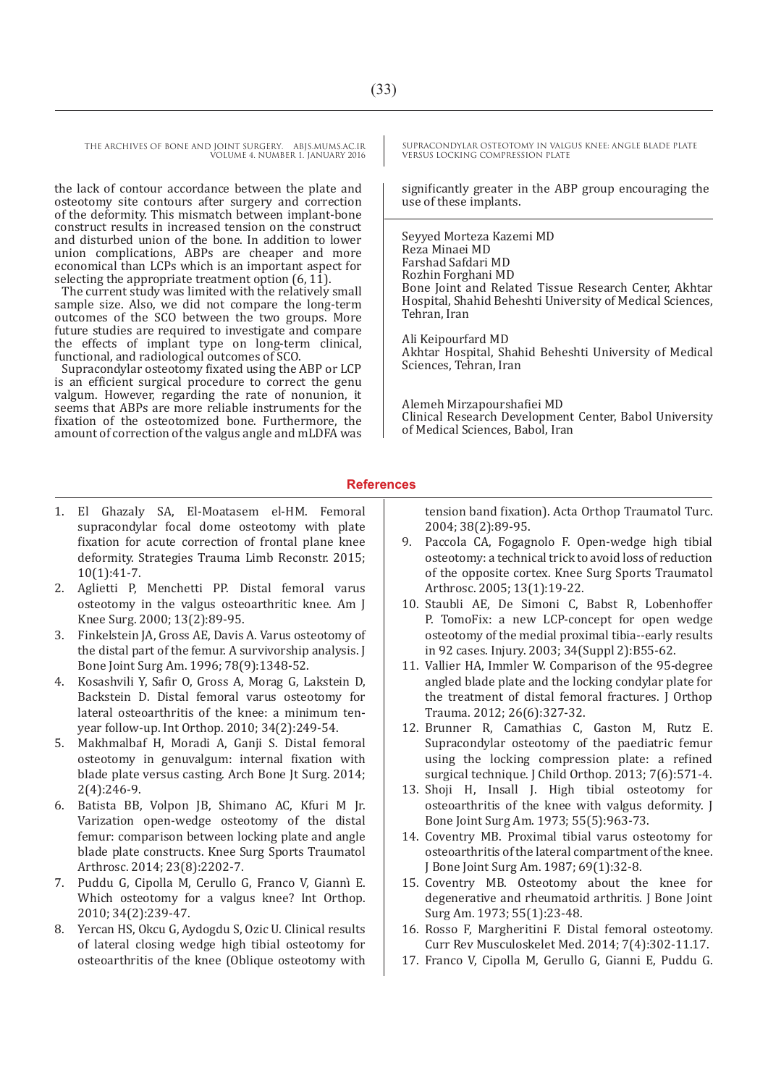THE ARCHIVES OF BONE AND JOINT SURGERY. ABJS.MUMS.AC.IR VOLUME 4. NUMBER 1. JANUARY 2016

the lack of contour accordance between the plate and osteotomy site contours after surgery and correction of the deformity. This mismatch between implant-bone construct results in increased tension on the construct and disturbed union of the bone. In addition to lower union complications, ABPs are cheaper and more economical than LCPs which is an important aspect for selecting the appropriate treatment option  $(6, 11)$ .

The current study was limited with the relatively small sample size. Also, we did not compare the long-term outcomes of the SCO between the two groups. More future studies are required to investigate and compare the effects of implant type on long-term clinical, functional, and radiological outcomes of SCO.

Supracondylar osteotomy fixated using the ABP or LCP is an efficient surgical procedure to correct the genu valgum. However, regarding the rate of nonunion, it seems that ABPs are more reliable instruments for the fixation of the osteotomized bone. Furthermore, the amount of correction of the valgus angle and mLDFA was

- 1. El Ghazaly SA, El-Moatasem el-HM. Femoral supracondylar focal dome osteotomy with plate fixation for acute correction of frontal plane knee deformity. Strategies Trauma Limb Reconstr. 2015; 10(1):41-7.
- 2. Aglietti P, Menchetti PP. Distal femoral varus osteotomy in the valgus osteoarthritic knee. Am J Knee Surg. 2000; 13(2):89-95.
- 3. Finkelstein JA, Gross AE, Davis A. Varus osteotomy of the distal part of the femur. A survivorship analysis. J Bone Joint Surg Am. 1996; 78(9):1348-52.
- 4. Kosashvili Y, Safir O, Gross A, Morag G, Lakstein D, Backstein D. Distal femoral varus osteotomy for lateral osteoarthritis of the knee: a minimum tenyear follow-up. Int Orthop. 2010; 34(2):249-54.
- 5. Makhmalbaf H, Moradi A, Ganji S. Distal femoral osteotomy in genuvalgum: internal fixation with blade plate versus casting. Arch Bone Jt Surg. 2014; 2(4):246-9.
- 6. Batista BB, Volpon JB, Shimano AC, Kfuri M Jr. Varization open-wedge osteotomy of the distal femur: comparison between locking plate and angle blade plate constructs. Knee Surg Sports Traumatol Arthrosc. 2014; 23(8):2202-7.
- 7. Puddu G, Cipolla M, Cerullo G, Franco V, Giannì� E. Which osteotomy for a valgus knee? Int Orthop. 2010; 34(2):239-47.
- 8. Yercan HS, Okcu G, Aydogdu S, Ozic U. Clinical results of lateral closing wedge high tibial osteotomy for osteoarthritis of the knee (Oblique osteotomy with

SUPRACONDYLAR OSTEOTOMY IN VALGUS KNEE: ANGLE BLADE PLATE VERSUS LOCKING COMPRESSION PLATE

significantly greater in the ABP group encouraging the use of these implants.

Seyyed Morteza Kazemi MD Reza Minaei MD Farshad Safdari MD Rozhin Forghani MD Bone Joint and Related Tissue Research Center, Akhtar Hospital, Shahid Beheshti University of Medical Sciences, Tehran, Iran

Ali Keipourfard MD Akhtar Hospital, Shahid Beheshti University of Medical Sciences, Tehran, Iran

Alemeh Mirzapourshafiei MD Clinical Research Development Center, Babol University of Medical Sciences, Babol, Iran

#### **References**

tension band fixation). Acta Orthop Traumatol Turc. 2004; 38(2):89-95.

- 9. Paccola CA, Fogagnolo F. Open-wedge high tibial osteotomy: a technical trick to avoid loss of reduction of the opposite cortex. Knee Surg Sports Traumatol Arthrosc. 2005; 13(1):19-22.
- 10. Staubli AE, De Simoni C, Babst R, Lobenhoffer P. TomoFix: a new LCP-concept for open wedge osteotomy of the medial proximal tibia--early results in 92 cases. Injury. 2003; 34(Suppl 2):B55-62.
- 11. Vallier HA, Immler W. Comparison of the 95-degree angled blade plate and the locking condylar plate for the treatment of distal femoral fractures. J Orthop Trauma. 2012; 26(6):327-32.
- 12. Brunner R, Camathias C, Gaston M, Rutz E. Supracondylar osteotomy of the paediatric femur using the locking compression plate: a refined surgical technique. J Child Orthop. 2013; 7(6):571-4.
- 13. Shoji H, Insall J. High tibial osteotomy for osteoarthritis of the knee with valgus deformity. J Bone Joint Surg Am. 1973; 55(5):963-73.
- 14. Coventry MB. Proximal tibial varus osteotomy for osteoarthritis of the lateral compartment of the knee. J Bone Joint Surg Am. 1987; 69(1):32-8.
- 15. Coventry MB. Osteotomy about the knee for degenerative and rheumatoid arthritis. J Bone Joint Surg Am. 1973; 55(1):23-48.
- 16. Rosso F, Margheritini F. Distal femoral osteotomy. Curr Rev Musculoskelet Med. 2014; 7(4):302-11.17.
- 17. Franco V, Cipolla M, Gerullo G, Gianni E, Puddu G.